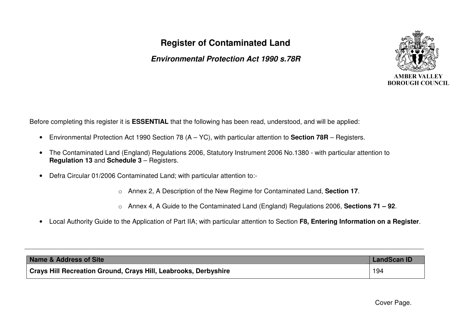# **Register of Contaminated Land**

**Environmental Protection Act 1990 s.78R** 



Before completing this register it is **ESSENTIAL** that the following has been read, understood, and will be applied:

- Environmental Protection Act 1990 Section 78 (A YC), with particular attention to **Section 78R** Registers.
- The Contaminated Land (England) Regulations 2006, Statutory Instrument 2006 No.1380 with particular attention to **Regulation 13** and **Schedule 3** – Registers.
- Defra Circular 01/2006 Contaminated Land; with particular attention to:
	- <sup>o</sup>Annex 2, A Description of the New Regime for Contaminated Land, **Section 17**.
	- <sup>o</sup>Annex 4, A Guide to the Contaminated Land (England) Regulations 2006, **Sections 71 92**.
- Local Authority Guide to the Application of Part IIA; with particular attention to Section **F8, Entering Information on a Register**.

| Name & Address of Site                                          | <b>LandScan ID</b> |
|-----------------------------------------------------------------|--------------------|
| Crays Hill Recreation Ground, Crays Hill, Leabrooks, Derbyshire | 194                |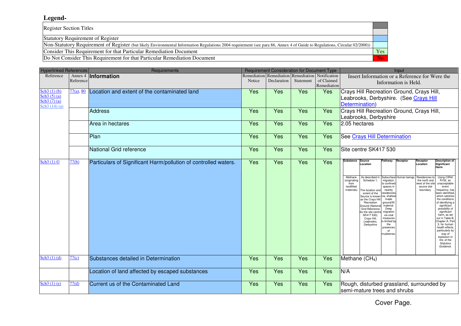#### **Legend-**

Register Section Titles

Statutory Requirement of Register

 Non-Statutory Requirement of Register (but likely Environmental Information Regulations 2004 requirement (see para 86, Annex 4 of Guide to Regulations, Circular 02/2000))**Consider This Requirement for that Particular Remediation Document Yes** Do Not Consider This Requirement for that Particular Remediation Document

| <b>Hyperlinked References</b>                        |              | Requirements                                                    |        | <b>Requirement Consideration for Document Type</b>              |           |             | Input                                |                                                                                                                                                                                                                   |                                                                                                                                                                                                  |                                 |                                                        |                                                                                                                                                                                                                                                                                                                                                         |
|------------------------------------------------------|--------------|-----------------------------------------------------------------|--------|-----------------------------------------------------------------|-----------|-------------|--------------------------------------|-------------------------------------------------------------------------------------------------------------------------------------------------------------------------------------------------------------------|--------------------------------------------------------------------------------------------------------------------------------------------------------------------------------------------------|---------------------------------|--------------------------------------------------------|---------------------------------------------------------------------------------------------------------------------------------------------------------------------------------------------------------------------------------------------------------------------------------------------------------------------------------------------------------|
| Reference                                            | Reference    | Annex 4 Information                                             | Notice | Remediation Remediation Remediation Notification<br>Declaration | Statement | of Claimed  |                                      | Insert Information or a Reference for Were the                                                                                                                                                                    |                                                                                                                                                                                                  |                                 |                                                        |                                                                                                                                                                                                                                                                                                                                                         |
|                                                      |              |                                                                 |        |                                                                 |           | Remediation |                                      |                                                                                                                                                                                                                   |                                                                                                                                                                                                  | Information is Held.            |                                                        |                                                                                                                                                                                                                                                                                                                                                         |
| Sch $3(1)(b)$<br>Sch $3(5)(a)$<br>Sch $3(7)(a)$      | $77(a)$ , 80 | Location and extent of the contaminated land                    | Yes    | Yes                                                             | Yes       | <b>Yes</b>  |                                      | Crays Hill Recreation Ground, Crays Hill,<br>Leabrooks, Derbyshire. (See Crays Hill                                                                                                                               |                                                                                                                                                                                                  |                                 |                                                        |                                                                                                                                                                                                                                                                                                                                                         |
| Sch <sub>3</sub> $(14)$ (a)                          |              |                                                                 |        |                                                                 |           |             | Determination)                       |                                                                                                                                                                                                                   |                                                                                                                                                                                                  |                                 |                                                        |                                                                                                                                                                                                                                                                                                                                                         |
|                                                      |              | <b>Address</b>                                                  | Yes    | Yes                                                             | Yes       | Yes         |                                      | Crays Hill Recreation Ground, Crays Hill,<br>Leabrooks, Derbyshire                                                                                                                                                |                                                                                                                                                                                                  |                                 |                                                        |                                                                                                                                                                                                                                                                                                                                                         |
|                                                      |              | Area in hectares                                                | Yes    | Yes                                                             | Yes       | Yes         | 2.05 hectares                        |                                                                                                                                                                                                                   |                                                                                                                                                                                                  |                                 |                                                        |                                                                                                                                                                                                                                                                                                                                                         |
|                                                      |              | Plan                                                            | Yes    | Yes                                                             | Yes       | Yes         |                                      | <b>See Crays Hill Determination</b>                                                                                                                                                                               |                                                                                                                                                                                                  |                                 |                                                        |                                                                                                                                                                                                                                                                                                                                                         |
|                                                      |              | National Grid reference                                         | Yes    | Yes                                                             | Yes       | Yes         |                                      | Site centre SK417 530                                                                                                                                                                                             |                                                                                                                                                                                                  |                                 |                                                        |                                                                                                                                                                                                                                                                                                                                                         |
| Sch <sub>3</sub> $(1)$ <sup><math>\odot</math></sup> | 77(b)        | Particulars of Significant Harm/pollution of controlled waters. | Yes    | Yes                                                             | Yes       | Yes         | Substance<br>Methane<br>(originating | Source<br>Location<br>As described<br>Schedule 1;                                                                                                                                                                 | Pathway<br>Subsurface<br>migration,                                                                                                                                                              | <b>Receptor</b><br>luman beings | Receptor<br>ocation<br>Residencies to<br>the north and | <b>Description of</b><br>Significant<br>Harm<br>Using CIRIA<br>R152, an                                                                                                                                                                                                                                                                                 |
|                                                      |              |                                                                 |        |                                                                 |           |             | from<br>landfilled<br>materials)     | The location and<br>extent of the<br>Source is knowr<br>as the Crays Hil<br>Recreation<br>Ground (Nationa<br><b>Grid Reference</b><br>or the site centr<br>SK417 530),<br>Crays Hill,<br>Leabrooks.<br>Derbyshire | o confined<br>spaces in<br>nearby<br>esidencie:<br>ia. shallow<br>made<br>ground/fil<br>material<br>Deep<br>migration<br>via coal<br>measures<br>limited b<br>the<br>resences<br>of<br>nudstones |                                 | rest of the site<br>source site<br>boundary.           | <b>unacceptable</b><br>event<br>requency, has<br>been identified<br>which satisfies<br>the conditions<br>of identifying a<br>significant<br>possibility of<br>significant<br>harm, as set<br>out in Table B<br>Chapter A, Par<br>3, for human<br>health effects.<br>particularly by<br>way of<br>explosion or<br>fire, of the<br>Statutory<br>Guidance. |
| Sch $3(1)(d)$                                        | 77(c)        | Substances detailed in Determination                            | Yes    | Yes                                                             | Yes       | Yes         | Methane (CH <sub>4</sub> )           |                                                                                                                                                                                                                   |                                                                                                                                                                                                  |                                 |                                                        |                                                                                                                                                                                                                                                                                                                                                         |
|                                                      |              | Location of land affected by escaped substances                 | Yes    | Yes                                                             | Yes       | Yes         | N/A                                  |                                                                                                                                                                                                                   |                                                                                                                                                                                                  |                                 |                                                        |                                                                                                                                                                                                                                                                                                                                                         |
| Sch $3(1)(e)$                                        | 77(d)        | Current us of the Contaminated Land                             | Yes    | Yes                                                             | Yes       | Yes         |                                      | Rough, disturbed grassland, surrounded by<br>semi-mature trees and shrubs                                                                                                                                         |                                                                                                                                                                                                  |                                 |                                                        |                                                                                                                                                                                                                                                                                                                                                         |

Cover Page.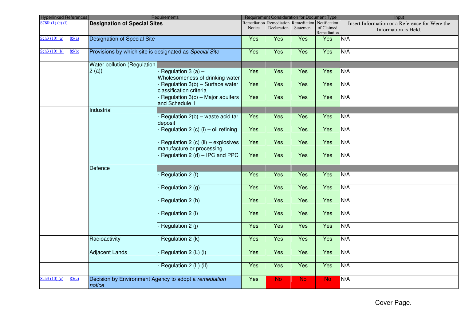| <b>Hyperlinked References</b> |       |                                                        | Requirements                                                      |                       | <b>Requirement Consideration for Document Type</b>  |           |                           | Input                                                                  |
|-------------------------------|-------|--------------------------------------------------------|-------------------------------------------------------------------|-----------------------|-----------------------------------------------------|-----------|---------------------------|------------------------------------------------------------------------|
| $S78R(1)$ (e) (f)             |       | <b>Designation of Special Sites</b>                    |                                                                   | Remediation<br>Notice | Remediation Remediation Notification<br>Declaration | Statement | of Claimed<br>Remediation | Insert Information or a Reference for Were the<br>Information is Held. |
| Sch $3(10)(a)$                | 85(a) | <b>Designation of Special Site</b>                     |                                                                   | Yes                   | Yes                                                 | Yes       | Yes                       | N/A                                                                    |
| Sch <sub>3</sub> (10) (b)     | 85(b) | Provisions by which site is designated as Special Site |                                                                   | Yes                   | Yes                                                 | Yes       | Yes                       | N/A                                                                    |
|                               |       | <b>Water pollution (Regulation</b>                     |                                                                   |                       |                                                     |           |                           |                                                                        |
|                               |       | 2(a)                                                   | Regulation $3(a)$ –<br>Wholesomeness of drinking water            | Yes                   | Yes                                                 | Yes       | Yes                       | N/A                                                                    |
|                               |       |                                                        | Regulation $3(b)$ – Surface water<br>classification criteria      | Yes                   | Yes                                                 | Yes       | Yes                       | N/A                                                                    |
|                               |       |                                                        | Regulation 3(c) - Major aquifers<br>and Schedule 1                | Yes                   | Yes                                                 | Yes       | Yes                       | N/A                                                                    |
|                               |       | Industrial                                             |                                                                   |                       |                                                     |           |                           |                                                                        |
|                               |       |                                                        | Regulation $2(b)$ – waste acid tar<br>deposit                     | Yes                   | Yes                                                 | Yes       | Yes                       | N/A                                                                    |
|                               |       |                                                        | Regulation 2 (c) (i) – oil refining                               | Yes                   | Yes                                                 | Yes       | Yes                       | N/A                                                                    |
|                               |       |                                                        | Regulation 2 (c) (ii) $-$ explosives<br>manufacture or processing | Yes                   | Yes                                                 | Yes       | Yes                       | N/A                                                                    |
|                               |       |                                                        | Regulation 2 (d) – IPC and PPC                                    | Yes                   | Yes                                                 | Yes       | Yes                       | N/A                                                                    |
|                               |       | Defence                                                |                                                                   |                       |                                                     |           |                           |                                                                        |
|                               |       |                                                        | Regulation 2 (f)                                                  | Yes                   | Yes                                                 | Yes       | Yes                       | N/A                                                                    |
|                               |       |                                                        | Regulation $2(g)$                                                 | Yes                   | Yes                                                 | Yes       | Yes                       | N/A                                                                    |
|                               |       |                                                        | Regulation 2 (h)                                                  | Yes                   | Yes                                                 | Yes       | Yes                       | N/A                                                                    |
|                               |       |                                                        | Regulation 2 (i)                                                  | Yes                   | Yes                                                 | Yes       | Yes                       | N/A                                                                    |
|                               |       |                                                        | Regulation 2 (j)                                                  | Yes                   | Yes                                                 | Yes       | Yes                       | N/A                                                                    |
|                               |       | Radioactivity                                          | Regulation 2 (k)                                                  | Yes                   | Yes                                                 | Yes       | Yes                       | N/A                                                                    |
|                               |       | <b>Adjacent Lands</b>                                  | Regulation 2 (L) (i)                                              | Yes                   | Yes                                                 | Yes       | Yes                       | N/A                                                                    |
|                               |       |                                                        | Regulation 2 (L) (il)                                             | Yes                   | Yes                                                 | Yes       | Yes                       | N/A                                                                    |
| Sch3 $(10)(c)$                | 85(c) | notice                                                 | Decision by Environment Agency to adopt a remediation             | Yes                   | <b>No</b>                                           | <b>No</b> | <b>No</b>                 | N/A                                                                    |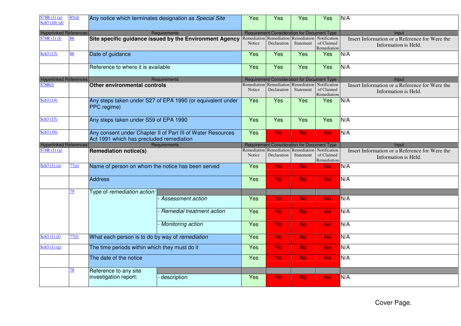| S78R(1)(g)<br>Sch <sub>3</sub> $(10)$ (d) | 85(d)     |                                                                                                         | Any notice which terminates designation as Special Site    | Yes                   | Yes                                                | Yes       | Yes                                       | N/A |                                                                        |
|-------------------------------------------|-----------|---------------------------------------------------------------------------------------------------------|------------------------------------------------------------|-----------------------|----------------------------------------------------|-----------|-------------------------------------------|-----|------------------------------------------------------------------------|
| <b>Hyperlinked References</b>             |           |                                                                                                         | Requirements                                               |                       | <b>Requirement Consideration for Document Type</b> |           |                                           |     | Input                                                                  |
| \$78R(1)(1)                               | 86        |                                                                                                         | Site specific guidance issued by the Environment Agency    | Notice                | Remediation Remediation Remediation<br>Declaration | Statement | Notification<br>of Claimed<br>Remediation |     | Insert Information or a Reference for Were the<br>Information is Held. |
| Sch $3(13)$                               | 86        | Date of guidance                                                                                        |                                                            | Yes                   | Yes                                                | Yes       | Yes                                       | N/A |                                                                        |
|                                           |           | Reference to where it is available                                                                      |                                                            | Yes                   | Yes                                                | Yes       | Yes                                       | N/A |                                                                        |
| <b>Hyperlinked References</b>             |           |                                                                                                         | Requirements                                               |                       | <b>Requirement Consideration for Document Type</b> |           |                                           |     | Input                                                                  |
| S78R(1)                                   |           | Other environmental controls                                                                            |                                                            | Remediation<br>Notice | Remediation Remediation<br>Declaration             | Statement | Notification<br>of Claimed<br>Remediation |     | Insert Information or a Reference for Were the<br>Information is Held. |
| Sch <sub>3</sub> (14)                     |           | PPC regime)                                                                                             | Any steps taken under S27 of EPA 1990 (or equivalent under | Yes                   | Yes                                                | Yes       | Yes                                       | N/A |                                                                        |
| Sch $3(15)$                               |           | Any steps taken under S59 of EPA 1990                                                                   |                                                            | Yes                   | Yes                                                | Yes       | Yes                                       | N/A |                                                                        |
| Sch3(16)                                  |           | Any consent under Chapter II of Part III of Water Resources<br>Act 1991 which has precluded remediation | Yes                                                        | <b>No</b>             | <b>No</b>                                          | <b>No</b> | N/A                                       |     |                                                                        |
| <b>Hyperlinked References</b>             |           |                                                                                                         | Requirements                                               |                       | <b>Requirement Consideration for Document Type</b> |           |                                           |     | Input                                                                  |
| S78R(1)(a)                                |           | <b>Remediation notice(s)</b>                                                                            |                                                            | Remediation<br>Notice | Remediation Remediation<br>Declaration             | Statement | Notification<br>of Claimed<br>Remediation |     | Insert Information or a Reference for Were the<br>Information is Held. |
| Sch $3(1)(a)$                             | 77(e)     | Name of person on whom the notice has been served                                                       |                                                            | Yes                   | <b>No</b>                                          | <b>No</b> | <b>No</b>                                 | N/A |                                                                        |
|                                           |           | <b>Address</b>                                                                                          |                                                            | <b>Yes</b>            | <b>No</b>                                          | No.       | <b>No</b>                                 | N/A |                                                                        |
|                                           | <u>79</u> | Type of remediation action:                                                                             |                                                            |                       |                                                    |           |                                           |     |                                                                        |
|                                           |           |                                                                                                         | Assessment action                                          | Yes                   | <b>No</b>                                          | No.       | <b>No</b>                                 | N/A |                                                                        |
|                                           |           |                                                                                                         | Remedial treatment action                                  | Yes                   | <b>No</b>                                          | <b>No</b> | <b>No</b>                                 | N/A |                                                                        |
|                                           |           |                                                                                                         | Monitoring action                                          | Yes                   | <b>No</b>                                          | <b>No</b> | <b>No</b>                                 | N/A |                                                                        |
| Sch3(1) (f)                               | 77(f)     | What each person is to do by way of remediation                                                         |                                                            | Yes                   | <b>No</b>                                          | <b>No</b> | <b>No</b>                                 | N/A |                                                                        |
| Sch $3(1)(g)$                             |           | The time periods within which they must do it                                                           |                                                            | Yes                   | <b>No</b>                                          | No.       | <b>No</b>                                 | N/A |                                                                        |
|                                           |           | The date of the notice                                                                                  |                                                            | Yes                   | <b>No</b>                                          | <b>No</b> | <b>No</b>                                 | N/A |                                                                        |
|                                           | <u>78</u> | Reference to any site                                                                                   |                                                            |                       |                                                    |           |                                           |     |                                                                        |
|                                           |           | investigation report:                                                                                   | description                                                | Yes                   | <b>No</b>                                          | No.       | <b>No</b>                                 | N/A |                                                                        |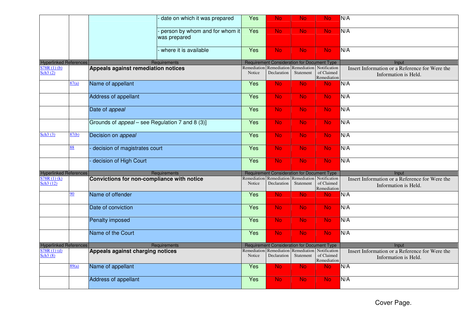|                               |                    |                                                 | date on which it was prepared                  | Yes                   | No.                                                 | No.       | <b>No</b>                                 | N/A |                                                                        |
|-------------------------------|--------------------|-------------------------------------------------|------------------------------------------------|-----------------------|-----------------------------------------------------|-----------|-------------------------------------------|-----|------------------------------------------------------------------------|
|                               |                    |                                                 | person by whom and for whom it<br>was prepared | Yes                   | <b>No</b>                                           | <b>No</b> | <b>No</b>                                 | N/A |                                                                        |
|                               |                    |                                                 | where it is available                          | Yes                   | <b>No</b>                                           | <b>No</b> | <b>No</b>                                 | N/A |                                                                        |
| <b>Hyperlinked References</b> |                    |                                                 | Requirements                                   |                       | <b>Requirement Consideration for Document Type</b>  |           |                                           |     | Input                                                                  |
| S78R(1)(b)<br>Sch $3(2)$      |                    | Appeals against remediation notices             |                                                | Notice                | Remediation Remediation Remediation<br>Declaration  | Statement | Notification<br>of Claimed<br>Remediation |     | Insert Information or a Reference for Were the<br>Information is Held. |
|                               | $\overline{87(a)}$ | Name of appellant                               |                                                | Yes                   | <b>No</b>                                           | <b>No</b> | No.                                       | N/A |                                                                        |
|                               |                    | <b>Address of appellant</b>                     |                                                | Yes                   | <b>No</b>                                           | <b>No</b> | <b>No</b>                                 | N/A |                                                                        |
|                               |                    | Date of appeal                                  |                                                | Yes                   | <b>No</b>                                           | <b>No</b> | <b>No</b>                                 | N/A |                                                                        |
|                               |                    | Grounds of appeal - see Regulation 7 and 8 (3)] |                                                | Yes                   | <b>No</b>                                           | <b>No</b> | <b>No</b>                                 | N/A |                                                                        |
| Sch $3(3)$                    | 87(b)              | Decision on appeal                              |                                                | Yes                   | <b>No</b>                                           | <b>No</b> | <b>No</b>                                 | N/A |                                                                        |
|                               | <u>88</u>          | decision of magistrates court                   |                                                | Yes                   | <b>No</b>                                           | <b>No</b> | <b>No</b>                                 | N/A |                                                                        |
|                               |                    | decision of High Court                          |                                                | Yes                   | <b>No</b>                                           | No.       | <b>No</b>                                 | N/A |                                                                        |
| <b>Hyperlinked References</b> |                    |                                                 | Requirements                                   |                       | <b>Requirement Consideration for Document Type</b>  |           |                                           |     | Input                                                                  |
| S78R(1)(k)<br>Sch $3(12)$     |                    | Convictions for non-compliance with notice      |                                                | Remediation<br>Notice | Remediation Remediation Notification<br>Declaration | Statement | of Claimed<br>Remediation                 |     | Insert Information or a Reference for Were the<br>Information is Held. |
|                               | $\overline{90}$    | Name of offender                                |                                                | Yes                   | <b>No</b>                                           | No.       | <b>No</b>                                 | N/A |                                                                        |
|                               |                    | Date of conviction                              |                                                | Yes                   | <b>No</b>                                           | <b>No</b> | <b>No</b>                                 | N/A |                                                                        |
|                               |                    | Penalty imposed                                 |                                                | Yes                   | <b>No</b>                                           | <b>No</b> | <b>No</b>                                 | N/A |                                                                        |
|                               |                    | Name of the Court                               |                                                | Yes                   | <b>No</b>                                           | <b>No</b> | <b>No</b>                                 | N/A |                                                                        |
| <b>Hyperlinked References</b> |                    |                                                 | Requirements                                   |                       | <b>Requirement Consideration for Document Type</b>  |           |                                           |     | Input                                                                  |
| S78R(1)(d)<br>Sch $3(8)$      |                    | Appeals against charging notices                |                                                | Notice                | Remediation Remediation Remediation<br>Declaration  | Statement | Notification<br>of Claimed<br>Remediation |     | Insert Information or a Reference for Were the<br>Information is Held. |
|                               | 89(a)              | Name of appellant                               |                                                | Yes                   | No.                                                 | No.       | No.                                       | N/A |                                                                        |
|                               |                    | Address of appellant                            |                                                | Yes                   | No.                                                 | No.       | <b>No</b>                                 | N/A |                                                                        |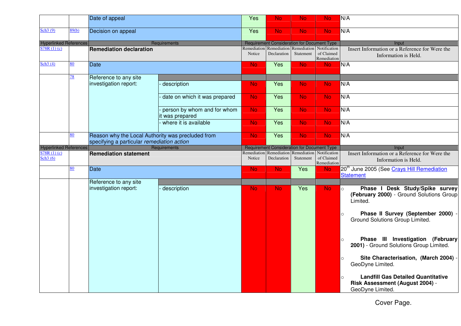|                               |       | Date of appeal                                                                                  |                                                | Yes            | <b>No</b>                                                       | <b>No</b>      | <b>No</b>                                                                                                                                                                                                                                                                      | N/A                                                                                                                                                                                  |
|-------------------------------|-------|-------------------------------------------------------------------------------------------------|------------------------------------------------|----------------|-----------------------------------------------------------------|----------------|--------------------------------------------------------------------------------------------------------------------------------------------------------------------------------------------------------------------------------------------------------------------------------|--------------------------------------------------------------------------------------------------------------------------------------------------------------------------------------|
| Sch $3(9)$                    | 89(b) | Decision on appeal                                                                              |                                                | Yes            | <b>No</b>                                                       | <b>No</b>      | <b>No</b>                                                                                                                                                                                                                                                                      | N/A                                                                                                                                                                                  |
| <b>Hyperlinked References</b> |       |                                                                                                 | Requirements                                   |                | <b>Requirement Consideration for Document Type</b>              |                |                                                                                                                                                                                                                                                                                | Input                                                                                                                                                                                |
| S78R(1)(c)                    |       | <b>Remediation declaration</b>                                                                  |                                                | Notice         | Remediation Remediation Remediation<br>Declaration              | Statement      | Notification<br>of Claimed<br>Remediation                                                                                                                                                                                                                                      | Insert Information or a Reference for Were the<br>Information is Held.                                                                                                               |
| Sch $3(4)$                    | 80    | <b>Date</b>                                                                                     |                                                | <b>No</b>      | Yes                                                             | <b>No</b>      | <b>No</b>                                                                                                                                                                                                                                                                      | N/A                                                                                                                                                                                  |
|                               | 78    | Reference to any site                                                                           |                                                |                |                                                                 |                |                                                                                                                                                                                                                                                                                |                                                                                                                                                                                      |
|                               |       | investigation report:                                                                           | description                                    | <b>No</b>      | Yes                                                             | N <sub>o</sub> | <b>No</b>                                                                                                                                                                                                                                                                      | N/A                                                                                                                                                                                  |
|                               |       |                                                                                                 | date on which it was prepared                  | <b>No</b>      | Yes                                                             | <b>No</b>      | <b>No</b>                                                                                                                                                                                                                                                                      | N/A                                                                                                                                                                                  |
|                               |       |                                                                                                 | person by whom and for whom<br>it was prepared | $\overline{N}$ | <b>Yes</b>                                                      | <b>No</b>      | <b>No</b>                                                                                                                                                                                                                                                                      | N/A                                                                                                                                                                                  |
|                               |       |                                                                                                 | where it is available                          | <b>No</b>      | Yes                                                             | <b>No</b>      | <b>No</b>                                                                                                                                                                                                                                                                      | N/A                                                                                                                                                                                  |
|                               | 80    | Reason why the Local Authority was precluded from<br>specifying a particular remediation action |                                                | <b>No</b>      | Yes                                                             | <b>No</b>      | <b>No</b>                                                                                                                                                                                                                                                                      | N/A                                                                                                                                                                                  |
| <b>Hyperlinked References</b> |       |                                                                                                 | Requirements                                   |                | <b>Requirement Consideration for Document Type</b>              |                |                                                                                                                                                                                                                                                                                | Input                                                                                                                                                                                |
| S78R(1)(c)<br>Sch $3(6)$      |       | <b>Remediation statement</b>                                                                    |                                                | Notice         | Remediation Remediation Remediation Notification<br>Declaration | Statement      | of Claimed<br>Remediation                                                                                                                                                                                                                                                      | Insert Information or a Reference for Were the<br>Information is Held.                                                                                                               |
|                               | 80    | <b>Date</b>                                                                                     |                                                |                | No.                                                             | Yes            | <b>No</b>                                                                                                                                                                                                                                                                      | 20 <sup>th</sup> June 2005 (See Crays Hill Remediation<br><b>Statement</b>                                                                                                           |
|                               |       | Reference to any site                                                                           |                                                |                |                                                                 |                |                                                                                                                                                                                                                                                                                |                                                                                                                                                                                      |
|                               |       | investigation report:                                                                           | description                                    | No.            | <b>No</b>                                                       | Yes            | <b>No</b>                                                                                                                                                                                                                                                                      | Phase I Desk Study/Spike survey<br>$\circ$<br>(February 2000) - Ground Solutions Group<br>Limited.<br>Phase II Survey (September 2000)<br>$\circ$<br>Ground Solutions Group Limited. |
|                               |       |                                                                                                 |                                                |                |                                                                 |                | Phase III Investigation (February<br>$\circ$<br>2001) - Ground Solutions Group Limited.<br>Site Characterisation, (March 2004) -<br>$\circ$<br>GeoDyne Limited.<br><b>Landfill Gas Detailed Quantitative</b><br>$\circ$<br>Risk Assessment (August 2004) -<br>GeoDyne Limited. |                                                                                                                                                                                      |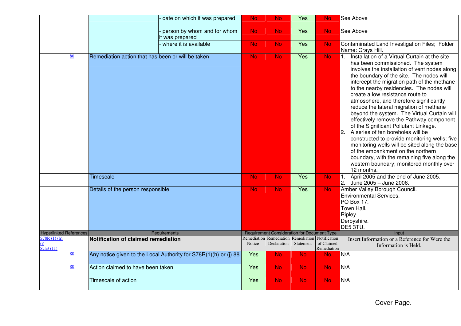|                                                |    |                                                   | date on which it was prepared                                    | <b>No</b> | <b>No</b>                                                       | Yes        | <b>No</b>                 | See Above                                                                                                                                                                                                                                                                                                                                                                                                                                                                                                                                                                                                                                                                                                                                                                                                                                                |
|------------------------------------------------|----|---------------------------------------------------|------------------------------------------------------------------|-----------|-----------------------------------------------------------------|------------|---------------------------|----------------------------------------------------------------------------------------------------------------------------------------------------------------------------------------------------------------------------------------------------------------------------------------------------------------------------------------------------------------------------------------------------------------------------------------------------------------------------------------------------------------------------------------------------------------------------------------------------------------------------------------------------------------------------------------------------------------------------------------------------------------------------------------------------------------------------------------------------------|
|                                                |    |                                                   | person by whom and for whom<br>it was prepared                   | <b>No</b> | <b>No</b>                                                       | <b>Yes</b> | <b>No</b>                 | See Above                                                                                                                                                                                                                                                                                                                                                                                                                                                                                                                                                                                                                                                                                                                                                                                                                                                |
|                                                |    |                                                   | where it is available                                            | <b>No</b> | <b>No</b>                                                       | Yes        | <b>No</b>                 | Contaminated Land Investigation Files; Folder<br>Name: Crays Hill.                                                                                                                                                                                                                                                                                                                                                                                                                                                                                                                                                                                                                                                                                                                                                                                       |
|                                                | 30 | Remediation action that has been or will be taken |                                                                  | <b>No</b> | <b>No</b>                                                       | Yes        | <b>No</b>                 | Installation of a Virtual Curtain at the site<br>$\overline{1}$ .<br>has been commissioned. The system<br>involves the installation of vent nodes along<br>the boundary of the site. The nodes will<br>intercept the migration path of the methane<br>to the nearby residencies. The nodes will<br>create a low resistance route to<br>atmosphere, and therefore significantly<br>reduce the lateral migration of methane<br>beyond the system. The Virtual Curtain will<br>effectively remove the Pathway component<br>of the Significant Pollutant Linkage.<br>A series of ten boreholes will be<br>2.<br>constructed to provide monitoring wells; five<br>monitoring wells will be sited along the base<br>of the embankment on the northern<br>boundary, with the remaining five along the<br>western boundary; monitored monthly over<br>12 months. |
|                                                |    | Timescale                                         |                                                                  | <b>No</b> | <b>No</b>                                                       | Yes        | <b>No</b>                 | 1. April 2005 and the end of June 2005.<br>2. June 2005 - June 2006.                                                                                                                                                                                                                                                                                                                                                                                                                                                                                                                                                                                                                                                                                                                                                                                     |
|                                                |    | Details of the person responsible                 |                                                                  | <b>No</b> | No.                                                             | Yes        | <b>No</b>                 | Amber Valley Borough Council.<br><b>Environmental Services.</b><br>PO Box 17.<br>Town Hall.<br>Ripley.<br>Derbyshire.<br>DE5 3TU.                                                                                                                                                                                                                                                                                                                                                                                                                                                                                                                                                                                                                                                                                                                        |
| <b>Hyperlinked References</b>                  |    |                                                   | Requirements                                                     |           | <b>Requirement Consideration for Document Type</b>              |            |                           | Input                                                                                                                                                                                                                                                                                                                                                                                                                                                                                                                                                                                                                                                                                                                                                                                                                                                    |
| $S78R(1)$ (h),<br>(i)<br>Sch <sub>3</sub> (11) |    | Notification of claimed remediation               |                                                                  | Notice    | Remediation Remediation Remediation Notification<br>Declaration | Statement  | of Claimed<br>Remediation | Insert Information or a Reference for Were the<br>Information is Held.                                                                                                                                                                                                                                                                                                                                                                                                                                                                                                                                                                                                                                                                                                                                                                                   |
|                                                | 30 |                                                   | Any notice given to the Local Authority for S78R(1)(h) or (j) 88 | Yes       | No.                                                             | No.        | <b>No</b>                 | N/A                                                                                                                                                                                                                                                                                                                                                                                                                                                                                                                                                                                                                                                                                                                                                                                                                                                      |
|                                                | 80 | Action claimed to have been taken                 |                                                                  | Yes       | <b>No</b>                                                       | <b>No</b>  | <b>No</b>                 | N/A                                                                                                                                                                                                                                                                                                                                                                                                                                                                                                                                                                                                                                                                                                                                                                                                                                                      |
|                                                |    | Timescale of action                               |                                                                  | Yes       | <b>No</b>                                                       | <b>No</b>  | <b>No</b>                 | N/A                                                                                                                                                                                                                                                                                                                                                                                                                                                                                                                                                                                                                                                                                                                                                                                                                                                      |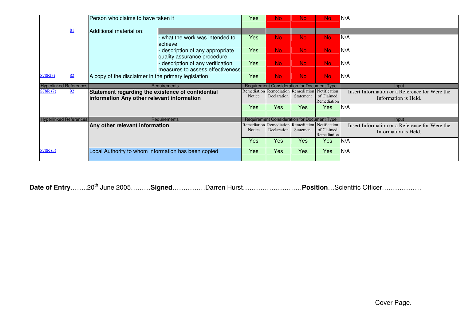|                               |    | Person who claims to have taken it                                                              |                                                                     | Yes        | <b>No</b>   | No.                                                           | No.                       | N/A                                                                    |
|-------------------------------|----|-------------------------------------------------------------------------------------------------|---------------------------------------------------------------------|------------|-------------|---------------------------------------------------------------|---------------------------|------------------------------------------------------------------------|
|                               |    | Additional material on:                                                                         |                                                                     |            |             |                                                               |                           |                                                                        |
|                               |    |                                                                                                 | what the work was intended to<br>lachieve                           | <b>Yes</b> | <b>No</b>   | <b>No</b>                                                     | No.                       | N/A                                                                    |
|                               |    |                                                                                                 | description of any appropriate<br>quality assurance procedure       | Yes        | <b>No</b>   | <b>No</b>                                                     | No.                       | N/A                                                                    |
|                               |    |                                                                                                 | description of any verification<br>measures to assess effectiveness | Yes        | <b>No</b>   | <b>No</b>                                                     | No.                       | N/A                                                                    |
| S78R(3)                       | 82 | A copy of the disclaimer in the primary legislation                                             |                                                                     | <b>Yes</b> | <b>No</b>   | <b>No</b>                                                     | No.                       | N/A                                                                    |
| <b>Hyperlinked References</b> |    |                                                                                                 | <b>Requirements</b>                                                 |            |             | Requirement Consideration for Document Type                   |                           | Input                                                                  |
| S78R(7)                       | 92 | Statement regarding the existence of confidential<br>information Any other relevant information |                                                                     | Notice     | Declaration | Remediation Remediation Remediation Notification<br>Statement | of Claimed<br>Remediation | Insert Information or a Reference for Were the<br>Information is Held. |
|                               |    |                                                                                                 |                                                                     | <b>Yes</b> | Yes         | Yes                                                           | Yes:                      | N/A                                                                    |
|                               |    |                                                                                                 |                                                                     |            |             |                                                               |                           |                                                                        |
| Hyperlinked References        |    |                                                                                                 | <b>Requirements</b>                                                 |            |             | <b>Requirement Consideration for Document Type</b>            |                           | Input                                                                  |
|                               |    | Any other relevant information                                                                  |                                                                     | Notice     | Declaration | Remediation Remediation Remediation Notification<br>Statement | of Claimed<br>Remediation | Insert Information or a Reference for Were the<br>Information is Held. |
|                               |    |                                                                                                 |                                                                     | <b>Yes</b> | Yes         | Yes                                                           | Yes                       | N/A                                                                    |

Date of Entry……..20<sup>th</sup> June 2005………Signed……………Darren Hurst………………………Position…Scientific Officer………………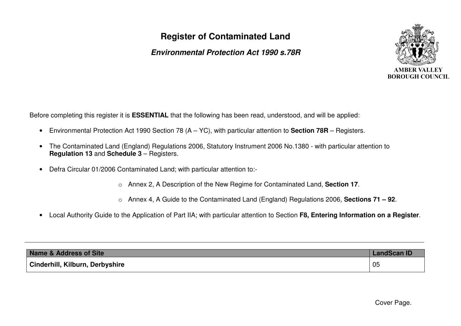# **Register of Contaminated Land Environmental Protection Act 1990 s.78R**



Before completing this register it is **ESSENTIAL** that the following has been read, understood, and will be applied:

- Environmental Protection Act 1990 Section 78 (A YC), with particular attention to **Section 78R** Registers.
- The Contaminated Land (England) Regulations 2006, Statutory Instrument 2006 No.1380 with particular attention to **Regulation 13** and **Schedule 3** – Registers.
- Defra Circular 01/2006 Contaminated Land; with particular attention to:
	- o Annex 2, A Description of the New Regime for Contaminated Land, Section 17.
	- <sup>o</sup>Annex 4, A Guide to the Contaminated Land (England) Regulations 2006, **Sections 71 92**.
- Local Authority Guide to the Application of Part IIA; with particular attention to Section **F8, Entering Information on a Register**.

| Name & Address of Site          | <b>LandScan ID</b> |
|---------------------------------|--------------------|
| Cinderhill, Kilburn, Derbyshire | 05                 |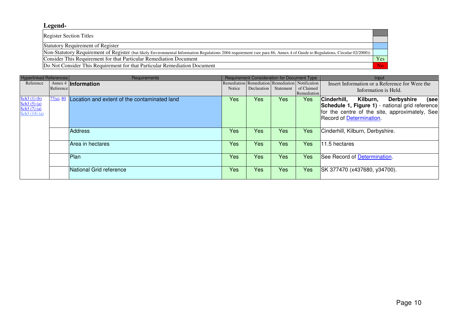### **Legend-**

| <b>Register Section Titles</b>                                                                                                                                             |     |
|----------------------------------------------------------------------------------------------------------------------------------------------------------------------------|-----|
|                                                                                                                                                                            |     |
| <b>Statutory Requirement of Register</b>                                                                                                                                   |     |
| Non-Statutory Requirement of Register (but likely Environmental Information Regulations 2004 requirement (see para 86, Annex 4 of Guide to Regulations, Circular 02/2000)) |     |
| Consider This Requirement for that Particular Remediation Document                                                                                                         | Yes |
| Do Not Consider This Requirement for that Particular Remediation Document                                                                                                  | -No |

| <b>Hyperlinked References</b>                                                     |                                 | Requirements                                 |        | <b>Requirement Consideration for Document Type</b>              |           |                           | Input                                                                                                                                                                                 |
|-----------------------------------------------------------------------------------|---------------------------------|----------------------------------------------|--------|-----------------------------------------------------------------|-----------|---------------------------|---------------------------------------------------------------------------------------------------------------------------------------------------------------------------------------|
| Reference                                                                         | Reference                       | Annex 4   Information                        | Notice | Remediation Remediation Remediation Notification<br>Declaration | Statement | of Claimed<br>Remediation | Insert Information or a Reference for Were the<br>Information is Held.                                                                                                                |
| Sch $3(1)(b)$<br>$77(a)$ , 80<br>Sch $3(5)(a)$<br>Sch $3(7)(a)$<br>Sch $3(14)(a)$ |                                 | Location and extent of the contaminated land | Yes    | Yes                                                             | Yes       | Yes                       | Cinderhill,<br>Kilburn,<br><b>Derbyshire</b><br>(see<br>Schedule 1, Figure 1) - national grid reference<br>for the centre of the site, approximately, See<br>Record of Determination. |
|                                                                                   |                                 | <b>Address</b>                               | Yes    | Yes                                                             | Yes       | Yes                       | Cinderhill, Kilburn, Derbyshire.                                                                                                                                                      |
|                                                                                   | Area in hectares<br><b>Plan</b> |                                              | Yes    | Yes                                                             | Yes       | Yes                       | $11.5$ hectares                                                                                                                                                                       |
|                                                                                   |                                 |                                              | Yes    | Yes                                                             | Yes       | Yes                       | See Record of Determination.                                                                                                                                                          |
|                                                                                   |                                 | National Grid reference                      | Yes:   | Yes                                                             | Yes       | Yes                       | SK 377470 (x437680, y34700).                                                                                                                                                          |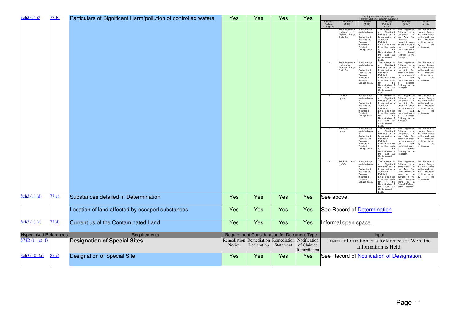| Sch $3(1)$                    | 77(b) | Particulars of Significant Harm/pollution of controlled waters. | Yes                   | Yes                                         | Yes       | Yes                                       | The Significant Pollutant linkages<br>(Relevant Section of Statutory Guidance                                                                      |                                                                                                                                                   |                                                                                                                                                                                                                                                                                                                                                                            |                                                                                                                                                                             |
|-------------------------------|-------|-----------------------------------------------------------------|-----------------------|---------------------------------------------|-----------|-------------------------------------------|----------------------------------------------------------------------------------------------------------------------------------------------------|---------------------------------------------------------------------------------------------------------------------------------------------------|----------------------------------------------------------------------------------------------------------------------------------------------------------------------------------------------------------------------------------------------------------------------------------------------------------------------------------------------------------------------------|-----------------------------------------------------------------------------------------------------------------------------------------------------------------------------|
|                               |       |                                                                 |                       |                                             |           |                                           | Contaminant<br>Significan<br>Pollutant<br>(A.12)<br>Linkage No<br><b>Total Petroleur</b><br>Hydrocarbon<br>Aliphatic Range<br>$C_{16}$ to $C_{35}$ | Pollutan<br>(A.17)<br>A relationship<br>exists between<br>the<br>Contaminant,<br>Pathway and                                                      | Significan<br>Pathwa<br>Pollutant<br>(A.14b)<br>(A.20)<br>This Pollutant is<br>The Significant<br>Significant<br>Pollutant is a<br>Pollutant as<br>component<br>forms part of<br>the Acid<br>Significant<br>Leachate.                                                                                                                                                      | Receptor<br>(A.13a)<br>The Receptor i<br>Human Beings<br>that have access<br>to the land, and<br>Tar<br>the Receptor                                                        |
|                               |       |                                                                 |                       |                                             |           |                                           |                                                                                                                                                    | Receptor.<br>therefore a<br>Pollutant<br>Linkage exists.<br>for<br>and                                                                            | Pollutant<br>present in areas<br>Linkage as it will<br>on the surface of<br>form the basis<br>the<br>the<br>therefore there is<br>Determination of<br>Pathway to the<br>the land as<br>Contaminated<br>Receptor.                                                                                                                                                           | could be harmed<br>the<br>bv<br>land.<br>contaminant.<br>Dermal                                                                                                             |
|                               |       |                                                                 |                       |                                             |           |                                           | <b>Total Petrole</b><br>Hydrocarbon<br>Aromatic Range<br>$C_{21}$ to $C_{35}$                                                                      | A relationship<br>exists betweer<br>the<br>Contaminant,<br>Pathway and<br>Receptor,<br>therefore a<br>Pollutant<br>Linkage exists<br>.and.        | This Pollutant is<br>The Significant<br>Significant<br>Pollutant is a<br>Pollutant as it<br>component<br>forms part of<br>the Acid Tar,<br>Significant<br>present in areas<br>Pollutant<br>on the surface of<br>Linkage as it will<br>the<br>form the basis<br>therefore there is<br>the<br>Determination of<br>Pathway to the<br>the land as<br>Receptor.<br>Contaminated | The Receptor is<br>Human Beings,<br>that have access<br>to the land, and<br>the Receptor<br>could be harmed<br>land,<br>by<br>contaminant.<br>Ingestion                     |
|                               |       |                                                                 |                       |                                             |           |                                           | Benzo(a)<br>pyrene<br>-3.                                                                                                                          | A relationship<br>exists between<br>the<br>Contaminant<br>Pathway and<br>Receptor.<br>therefore a<br>Pollutant<br>Linkage exists<br>and           | This Pollutant is<br>The Significant<br>Significant<br>Pollutant is a<br>Pollutant as it<br>component<br>forms part of<br>the Acid Tar.<br>Significant<br>present in areas<br>Pollutant<br>on the surface of<br>Linkage as it will<br>the<br>therefore there is<br>form the basis<br>the<br>Pathway to the<br>Determination of<br>the land as<br>Receptor.<br>Contaminated | The Receptor is<br>Human Beings<br>that have access<br>of<br>to the land, and<br>the Receptor<br>could be harmed<br>land, by<br>the<br>contaminant.<br>Ingestion            |
|                               |       |                                                                 |                       |                                             |           |                                           | Benzo(a)<br>pyrene                                                                                                                                 | A relationship<br>exists between<br>the<br>Contaminant,<br>Pathway and<br>Receptor,<br>therefore a<br>Pollutant<br>Linkage exists.<br>.and.       | This Pollutant is<br>Significant<br>Pollutant is a<br>Pollutant as<br>component<br>the Acid Tar,<br>forms part of<br>Significant<br>present in areas<br>Pollutant<br>on the surface of<br>Linkage as it will<br>the<br>therefore there is<br>form the basis<br>the<br>Determination of<br>Pathway to the<br>the land as<br>Receptor.<br>Contaminated                       | Significant<br>The Receptor<br>Human Beings<br>that have access<br>to the land, and<br>the Receptor<br>could be harmed<br>land,<br>by<br>contaminant.<br>Dermal             |
|                               |       |                                                                 |                       |                                             |           |                                           | Sulphuric<br>-5<br>Acid<br>(H <sub>2</sub> SO <sub>4</sub> )                                                                                       | A relationship<br>exists between<br>the<br>Contaminant<br>Pathway and<br>Receptor.<br>therefore a<br>Pollutant<br>Linkage exists.<br>for<br>I and | This Pollutant is<br>The Significant<br>Significant<br>Pollutant is a<br>Pollutant as in<br>component<br>forms part of<br>Significant<br>flows present in<br>Pollutant<br>areas on the<br>Linkage as it will<br>surface of the<br>form the basis<br>the<br>there<br>Determination of Dermal Pathway<br>the land as<br>to the Receptor.<br>Contaminated                     | The Recentor is<br>Human Beings<br>of<br>that have access<br>the Acid Tar to the land, and<br>the Receptor<br>could be harmed<br>by<br>land, therefore contaminant.<br>is a |
| Sch $3(1)(d)$                 | 77(c) | Substances detailed in Determination                            | Yes                   | Yes                                         | Yes       | Yes                                       | See above.                                                                                                                                         |                                                                                                                                                   |                                                                                                                                                                                                                                                                                                                                                                            |                                                                                                                                                                             |
|                               |       | Location of land affected by escaped substances                 | Yes                   | Yes                                         | Yes       | Yes                                       | See Record of Determination.                                                                                                                       |                                                                                                                                                   |                                                                                                                                                                                                                                                                                                                                                                            |                                                                                                                                                                             |
| Sch $3(1)(e)$                 | 77(d) | Current us of the Contaminated Land                             | Yes                   | Yes                                         | Yes       | Yes                                       | Informal open space.                                                                                                                               |                                                                                                                                                   |                                                                                                                                                                                                                                                                                                                                                                            |                                                                                                                                                                             |
| <b>Hyperlinked References</b> |       | Requirements                                                    |                       | Requirement Consideration for Document Type |           |                                           |                                                                                                                                                    | Input                                                                                                                                             |                                                                                                                                                                                                                                                                                                                                                                            |                                                                                                                                                                             |
| $S78R(1)$ (e) (f)             |       | <b>Designation of Special Sites</b>                             | Remediation<br>Notice | Remediation Remediation<br>Declaration      | Statement | Notification<br>of Claimed<br>Remediation | Insert Information or a Reference for Were the                                                                                                     | Information is Held.                                                                                                                              |                                                                                                                                                                                                                                                                                                                                                                            |                                                                                                                                                                             |
| Sch $3(10)(a)$                | 85(a) | <b>Designation of Special Site</b>                              | Yes                   | Yes                                         | Yes       | Yes                                       | See Record of Notification of Designation.                                                                                                         |                                                                                                                                                   |                                                                                                                                                                                                                                                                                                                                                                            |                                                                                                                                                                             |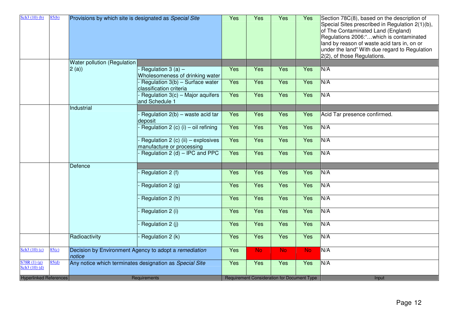| Sch <sub>3</sub> $(10)$ (b)             | 85(b) | Provisions by which site is designated as Special Site          |                                                                   | Yes                                                | Yes              | Yes       | Yes   | Section 78C(8), based on the description of<br>Special Sites prescribed in Regulation 2(1)(b),<br>of The Contaminated Land (England)<br>Regulations 2006:"which is contaminated<br>land by reason of waste acid tars in, on or<br>under the land" With due regard to Regulation<br>2(2), of those Regulations. |
|-----------------------------------------|-------|-----------------------------------------------------------------|-------------------------------------------------------------------|----------------------------------------------------|------------------|-----------|-------|----------------------------------------------------------------------------------------------------------------------------------------------------------------------------------------------------------------------------------------------------------------------------------------------------------------|
|                                         |       | Water pollution (Regulation)                                    |                                                                   |                                                    |                  |           |       |                                                                                                                                                                                                                                                                                                                |
|                                         |       | 2(a)                                                            | - Regulation $3(a)$ –<br>Wholesomeness of drinking water          | Yes                                                | Yes              | Yes       | Yes   | N/A                                                                                                                                                                                                                                                                                                            |
|                                         |       |                                                                 | Regulation $3(b)$ – Surface water<br>classification criteria      | Yes                                                | Yes              | Yes       | Yes   | N/A                                                                                                                                                                                                                                                                                                            |
|                                         |       |                                                                 | Regulation 3(c) - Major aquifers<br>and Schedule 1                | Yes                                                | Yes              | Yes       | Yes   | N/A                                                                                                                                                                                                                                                                                                            |
|                                         |       | Industrial                                                      |                                                                   |                                                    |                  |           |       |                                                                                                                                                                                                                                                                                                                |
|                                         |       |                                                                 | Regulation $2(b)$ – waste acid tar<br>deposit                     | Yes                                                | Yes              | Yes       | Yes   | Acid Tar presence confirmed.                                                                                                                                                                                                                                                                                   |
|                                         |       |                                                                 | Regulation 2 (c) (i) – oil refining                               | Yes                                                | Yes              | Yes       | Yes   | N/A                                                                                                                                                                                                                                                                                                            |
|                                         |       |                                                                 | Regulation 2 (c) (ii) $-$ explosives<br>manufacture or processing | Yes                                                | Yes              | Yes       | Yes   | N/A                                                                                                                                                                                                                                                                                                            |
|                                         |       |                                                                 | Regulation 2 (d) $-$ IPC and PPC                                  | Yes                                                | Yes              | Yes       | Yes   | N/A                                                                                                                                                                                                                                                                                                            |
|                                         |       | Defence                                                         |                                                                   |                                                    |                  |           |       |                                                                                                                                                                                                                                                                                                                |
|                                         |       |                                                                 | Regulation 2 (f)                                                  | Yes                                                | $\overline{Yes}$ | Yes       | Yes   | N/A                                                                                                                                                                                                                                                                                                            |
|                                         |       |                                                                 | Regulation 2 (g)                                                  | Yes                                                | Yes              | Yes       | Yes   | N/A                                                                                                                                                                                                                                                                                                            |
|                                         |       |                                                                 | Regulation 2 (h)                                                  | Yes                                                | Yes              | Yes       | Yes   | N/A                                                                                                                                                                                                                                                                                                            |
|                                         |       |                                                                 | Regulation 2 (i)                                                  | Yes                                                | Yes              | Yes       | Yes   | N/A                                                                                                                                                                                                                                                                                                            |
|                                         |       |                                                                 | Regulation 2 (j)                                                  | $\overline{Yes}$                                   | Yes              | Yes       | Yes   | N/A                                                                                                                                                                                                                                                                                                            |
|                                         |       | Radioactivity                                                   | Regulation 2 (k)                                                  | Yes                                                | Yes              | Yes       | Yes   | N/A                                                                                                                                                                                                                                                                                                            |
| Sch <sub>3</sub> (10) (c)               | 85(c) | Decision by Environment Agency to adopt a remediation<br>notice |                                                                   |                                                    | <b>No</b>        | <b>No</b> | No.   | N/A                                                                                                                                                                                                                                                                                                            |
| S78R(1)(g)<br>Sch <sub>3</sub> (10) (d) | 85(d) |                                                                 | Any notice which terminates designation as Special Site           | Yes                                                | Yes              | Yes       | Yes   | N/A                                                                                                                                                                                                                                                                                                            |
| <b>Hyperlinked References</b>           |       | Requirements                                                    |                                                                   | <b>Requirement Consideration for Document Type</b> |                  |           | Input |                                                                                                                                                                                                                                                                                                                |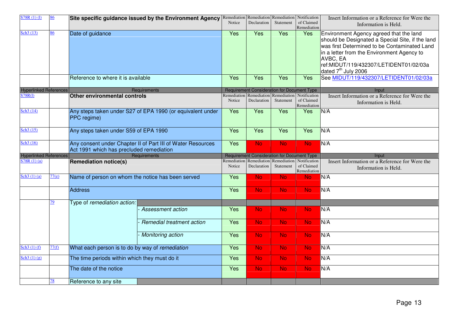| \$78R(1)(1)                   | 86    |                                                                                                         | Site specific guidance issued by the Environment Agency Remediation Remediation Remediation Notification | Notice           | Declaration                                        | Statement | of Claimed<br>Remediation                 | Insert Information or a Reference for Were the<br>Information is Held.                                                                                                                                                                                                             |
|-------------------------------|-------|---------------------------------------------------------------------------------------------------------|----------------------------------------------------------------------------------------------------------|------------------|----------------------------------------------------|-----------|-------------------------------------------|------------------------------------------------------------------------------------------------------------------------------------------------------------------------------------------------------------------------------------------------------------------------------------|
| Sch <sub>3</sub> (13)         | 86    | Date of guidance                                                                                        |                                                                                                          | Yes<br>Yes       | <b>Yes</b>                                         | Yes       | Yes                                       | Environment Agency agreed that the land<br>should be Designated a Special Site, if the land<br>was first Determined to be Contaminated Land<br>in a letter from the Environment Agency to<br>AVBC, EA<br>ref:MIDUT/119/432307/LETIDENT01/02/03a<br>dated 7 <sup>th</sup> July 2006 |
|                               |       | Reference to where it is available                                                                      |                                                                                                          |                  | Yes                                                | Yes       | Yes                                       | See MIDUT/119/432307/LETIDENT01/02/03a                                                                                                                                                                                                                                             |
| <b>Hyperlinked References</b> |       | Requirements                                                                                            |                                                                                                          |                  | <b>Requirement Consideration for Document Type</b> |           |                                           | Input                                                                                                                                                                                                                                                                              |
| S78R(1)                       |       | Other environmental controls                                                                            |                                                                                                          |                  | Remediation Remediation Remediation<br>Declaration | Statement | Notification<br>of Claimed<br>Remediation | Insert Information or a Reference for Were the<br>Information is Held.                                                                                                                                                                                                             |
| Sch <sub>3</sub> (14)         |       | PPC regime)                                                                                             | Any steps taken under S27 of EPA 1990 (or equivalent under                                               | Yes              | Yes                                                | Yes       | Yes                                       | N/A                                                                                                                                                                                                                                                                                |
| Sch <sub>3</sub> (15)         |       | Any steps taken under S59 of EPA 1990                                                                   |                                                                                                          | Yes              | Yes                                                | Yes       | Yes                                       | N/A                                                                                                                                                                                                                                                                                |
| Sch <sub>3</sub> (16)         |       | Any consent under Chapter II of Part III of Water Resources<br>Act 1991 which has precluded remediation |                                                                                                          |                  | No.                                                | No.       | No.                                       | N/A                                                                                                                                                                                                                                                                                |
| <b>Hyperlinked References</b> |       |                                                                                                         | Requirements                                                                                             |                  | <b>Requirement Consideration for Document Type</b> |           |                                           | Input                                                                                                                                                                                                                                                                              |
| S78R(1)(a)                    |       | <b>Remediation notice(s)</b>                                                                            |                                                                                                          | Notice           | Remediation Remediation Remediation<br>Declaration | Statement | Notification<br>of Claimed<br>Remediation | Insert Information or a Reference for Were the<br>Information is Held.                                                                                                                                                                                                             |
| Sch $3(1)(a)$                 | 77(e) | Name of person on whom the notice has been served                                                       |                                                                                                          | Yes              | <b>No</b>                                          | <b>No</b> | <b>No</b>                                 | N/A                                                                                                                                                                                                                                                                                |
|                               |       | <b>Address</b>                                                                                          |                                                                                                          | Yes              | <b>No</b>                                          | <b>No</b> | <b>No</b>                                 | N/A                                                                                                                                                                                                                                                                                |
|                               | 79    | Type of remediation action:                                                                             |                                                                                                          |                  |                                                    |           |                                           |                                                                                                                                                                                                                                                                                    |
|                               |       |                                                                                                         | Assessment action                                                                                        | Yes              | <b>No</b>                                          | <b>No</b> | <b>No</b>                                 | N/A                                                                                                                                                                                                                                                                                |
|                               |       |                                                                                                         | Remedial treatment action                                                                                | $\overline{Yes}$ | <b>No</b>                                          | No.       | <b>No</b>                                 | N/A                                                                                                                                                                                                                                                                                |
|                               |       |                                                                                                         | Monitoring action                                                                                        | Yes              | <b>No</b>                                          | <b>No</b> | <b>No</b>                                 | N/A                                                                                                                                                                                                                                                                                |
| Sch $3(1)(f)$                 | 77(f) | What each person is to do by way of remediation                                                         |                                                                                                          | Yes              | <b>No</b>                                          | <b>No</b> | <b>No</b>                                 | N/A                                                                                                                                                                                                                                                                                |
| Sch $3(1)(g)$                 |       | The time periods within which they must do it                                                           |                                                                                                          | $\overline{Yes}$ | <b>No</b>                                          | <b>No</b> | <b>No</b>                                 | N/A                                                                                                                                                                                                                                                                                |
|                               |       | The date of the notice                                                                                  |                                                                                                          | Yes              | <b>No</b>                                          | <b>No</b> | <b>No</b>                                 | N/A                                                                                                                                                                                                                                                                                |
|                               | 78    | Reference to any site                                                                                   |                                                                                                          |                  |                                                    |           |                                           |                                                                                                                                                                                                                                                                                    |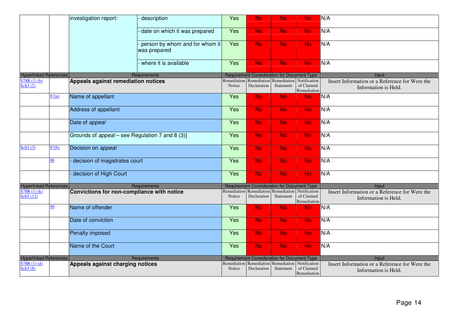|                                     |           | investigation report:                           | description                                    | Yes                   | <b>No</b>                                                       | <b>No</b> | <b>No</b>                                 | N/A                                                                    |
|-------------------------------------|-----------|-------------------------------------------------|------------------------------------------------|-----------------------|-----------------------------------------------------------------|-----------|-------------------------------------------|------------------------------------------------------------------------|
|                                     |           |                                                 | date on which it was prepared                  | Yes                   | <b>No</b>                                                       | <b>No</b> | <b>No</b>                                 | N/A                                                                    |
|                                     |           |                                                 | person by whom and for whom it<br>was prepared | Yes                   | <b>No</b>                                                       | <b>No</b> | <b>No</b>                                 | N/A                                                                    |
|                                     |           |                                                 | where it is available                          | Yes                   | <b>No</b>                                                       | <b>No</b> | <b>No</b>                                 | N/A                                                                    |
| <b>Hyperlinked References</b>       |           |                                                 | Requirements                                   |                       | <b>Requirement Consideration for Document Type</b>              |           |                                           | Input                                                                  |
| 578R(1)(b)<br>Sch $3(2)$            |           | Appeals against remediation notices             |                                                | Notice                | Remediation Remediation Remediation Notification<br>Declaration | Statement | of Claimed<br>Remediation                 | Insert Information or a Reference for Were the<br>Information is Held. |
|                                     | 87(a)     | Name of appellant                               |                                                | Yes                   | <b>No</b>                                                       | <b>No</b> | <b>No</b>                                 | N/A                                                                    |
|                                     |           | Address of appellant                            |                                                | Yes                   | <b>No</b>                                                       | <b>No</b> | <b>No</b>                                 | N/A                                                                    |
|                                     |           | Date of appeal                                  |                                                | Yes                   | <b>No</b>                                                       | <b>No</b> | <b>No</b>                                 | N/A                                                                    |
|                                     |           | Grounds of appeal – see Regulation 7 and 8 (3)] |                                                | Yes                   | <b>No</b>                                                       | <b>No</b> | <b>No</b>                                 | N/A                                                                    |
| Sch $3(3)$                          | 37(b)     | Decision on appeal                              |                                                | Yes                   | <b>No</b>                                                       | <b>No</b> | <b>No</b>                                 | N/A                                                                    |
|                                     | <u>88</u> | decision of magistrates court                   |                                                | Yes                   | <b>No</b>                                                       | <b>No</b> | <b>No</b>                                 | N/A                                                                    |
|                                     |           | decision of High Court                          |                                                | Yes                   | <b>No</b>                                                       | <b>No</b> | <b>No</b>                                 | N/A                                                                    |
| <b>Hyperlinked References</b>       |           |                                                 | Requirements                                   |                       | <b>Requirement Consideration for Document Type</b>              |           |                                           | Input                                                                  |
| S78R(1)(k)<br>Sch <sub>3</sub> (12) |           | Convictions for non-compliance with notice      |                                                | Remediation<br>Notice | Remediation Remediation<br>Declaration                          | Statement | Notification<br>of Claimed<br>Remediation | Insert Information or a Reference for Were the<br>Information is Held. |
|                                     | 90        | Name of offender                                |                                                | Yes                   | <b>No</b>                                                       | <b>No</b> | <b>No</b>                                 | N/A                                                                    |
|                                     |           | Date of conviction                              |                                                | Yes                   | <b>No</b>                                                       | <b>No</b> | <b>No</b>                                 | N/A                                                                    |
|                                     |           | Penalty imposed                                 |                                                | Yes                   | <b>No</b>                                                       | <b>No</b> | <b>No</b>                                 | N/A                                                                    |
|                                     |           | Name of the Court                               |                                                | Yes                   | <b>No</b>                                                       | <b>No</b> | <b>No</b>                                 | N/A                                                                    |
| <b>Hyperlinked References</b>       |           |                                                 | Requirements                                   |                       | <b>Requirement Consideration for Document Type</b>              |           |                                           | Input                                                                  |
| S78R(1)(d)<br>Sch $3(8)$            |           | Appeals against charging notices                |                                                | Remediation<br>Notice | Remediation Remediation<br>Declaration                          | Statement | Notification<br>of Claimed<br>Remediation | Insert Information or a Reference for Were the<br>Information is Held. |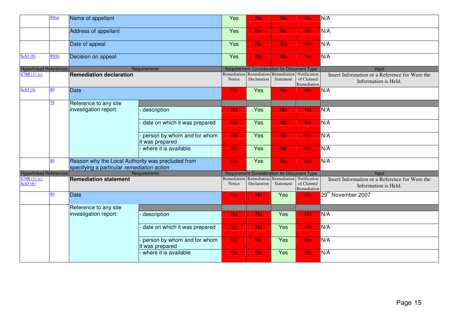|                               | 89(a) | Name of appellant                                                                               |                                                | Yes                   | <b>No</b>                                                          | <b>No</b> | <b>No</b>                                 | N/A                                                                    |
|-------------------------------|-------|-------------------------------------------------------------------------------------------------|------------------------------------------------|-----------------------|--------------------------------------------------------------------|-----------|-------------------------------------------|------------------------------------------------------------------------|
|                               |       | Address of appellant                                                                            |                                                | Yes                   | <b>No</b>                                                          | <b>No</b> | <b>No</b>                                 | N/A                                                                    |
|                               |       | Date of appeal                                                                                  |                                                | Yes                   | <b>No</b>                                                          | <b>No</b> | <b>No</b>                                 | N/A                                                                    |
| Sch $3(9)$                    | 89(b) | Decision on appeal                                                                              |                                                |                       | <b>No</b>                                                          | <b>No</b> | <b>No</b>                                 | N/A                                                                    |
| <b>Hyperlinked References</b> |       | Requirements                                                                                    |                                                |                       | <b>Requirement Consideration for Document Type</b>                 |           |                                           | Input                                                                  |
| S78R(1)(c)                    |       | <b>Remediation declaration</b>                                                                  |                                                |                       | Remediation Remediation Notification<br>Remediation<br>Declaration | Statement | of Claimed<br>Remediation                 | Insert Information or a Reference for Were the<br>Information is Held. |
| Sch <sub>3</sub> $(4)$        | 80    | Date                                                                                            |                                                | <b>No</b>             | Yes                                                                | <b>No</b> | <b>No</b>                                 | N/A                                                                    |
|                               | 78    | Reference to any site                                                                           |                                                |                       |                                                                    |           |                                           |                                                                        |
|                               |       | investigation report:                                                                           | description                                    | <b>No</b>             | Yes                                                                | <b>No</b> | <b>No</b>                                 | N/A                                                                    |
|                               |       |                                                                                                 | date on which it was prepared                  | <b>No</b>             | Yes                                                                | <b>No</b> | <b>No</b>                                 | N/A                                                                    |
|                               |       |                                                                                                 | person by whom and for whom<br>it was prepared | <b>No</b>             | Yes                                                                | <b>No</b> | <b>No</b>                                 | N/A                                                                    |
|                               |       |                                                                                                 | where it is available                          | <b>No</b>             | Yes                                                                | No.       | <b>No</b>                                 | N/A                                                                    |
|                               | 80.   | Reason why the Local Authority was precluded from<br>specifying a particular remediation action |                                                | <b>No</b>             | Yes                                                                | No.       | <b>No</b>                                 | N/A                                                                    |
| <b>Hyperlinked References</b> |       | Requirements                                                                                    |                                                |                       | <b>Requirement Consideration for Document Type</b>                 |           |                                           | Input                                                                  |
| S78R(1)(c)<br>Sch $3(6)$      |       | <b>Remediation statement</b>                                                                    |                                                | Remediation<br>Notice | Remediation Remediation<br>Declaration                             | Statement | Notification<br>of Claimed<br>Remediation | Insert Information or a Reference for Were the<br>Information is Held. |
|                               | 80    | Date                                                                                            |                                                | <b>No</b>             | <b>No</b>                                                          | Yes       | <b>No</b>                                 | 29 <sup>th</sup> November 2007                                         |
|                               |       | Reference to any site                                                                           |                                                |                       |                                                                    |           |                                           |                                                                        |
|                               |       | investigation report:                                                                           | description                                    | <b>No</b>             | <b>No</b>                                                          | Yes       | <b>No</b>                                 | N/A                                                                    |
|                               |       |                                                                                                 | date on which it was prepared                  | <b>No</b>             | <b>No</b>                                                          | Yes       | <b>No</b>                                 | N/A                                                                    |
|                               |       |                                                                                                 | person by whom and for whom<br>it was prepared | <b>No</b>             | <b>No</b>                                                          | Yes       | <b>No</b>                                 | N/A                                                                    |
|                               |       |                                                                                                 | where it is available                          | <b>No</b>             | <b>No</b>                                                          | Yes       | <b>No</b>                                 | N/A                                                                    |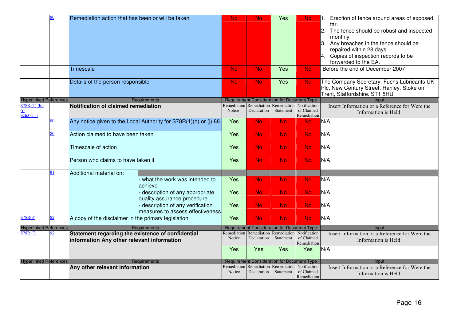|                                          | 80 | Remediation action that has been or will be taken<br>Timescale                                  |                                                                     | <b>No</b><br><b>No</b> | <b>No</b><br><b>No</b>                              | Yes<br>Yes     | N <sub>o</sub><br><b>No</b>               | 1. Erection of fence around areas of exposed<br>tar.<br>2. The fence should be robust and inspected<br>monthly.<br>3. Any breaches in the fence should be<br>repaired within 28 days.<br>4. Copies of inspection records to be<br>forwarded to the EA.<br>Before the end of December 2007 |
|------------------------------------------|----|-------------------------------------------------------------------------------------------------|---------------------------------------------------------------------|------------------------|-----------------------------------------------------|----------------|-------------------------------------------|-------------------------------------------------------------------------------------------------------------------------------------------------------------------------------------------------------------------------------------------------------------------------------------------|
|                                          |    | Details of the person responsible                                                               |                                                                     | <b>No</b>              | <b>No</b>                                           | Yes            | <b>No</b>                                 | The Company Secretary, Fuchs Lubricants UK<br>Plc, New Century Street, Hanley, Stoke on<br>Trent, Staffordshire. ST1 5HU                                                                                                                                                                  |
| <b>Hyperlinked References</b>            |    |                                                                                                 | Requirements                                                        |                        | <b>Requirement Consideration for Document Type</b>  |                |                                           | Innut                                                                                                                                                                                                                                                                                     |
| $S78R(1)$ (h),<br><u>(i)</u><br>Sch3(11) |    | Notification of claimed remediation                                                             |                                                                     | Notice                 | Remediation Remediation Notification<br>Declaration | Statement      | of Claimed<br>Remediation                 | Insert Information or a Reference for Were the<br>Information is Held.                                                                                                                                                                                                                    |
|                                          | 80 |                                                                                                 | Any notice given to the Local Authority for S78R(1)(h) or (j) 88    | Yes                    | <b>No</b>                                           | <b>No</b>      | <b>No</b>                                 | N/A                                                                                                                                                                                                                                                                                       |
|                                          | 80 | Action claimed to have been taken                                                               |                                                                     | Yes                    | <b>No</b>                                           | <b>No</b>      | <b>No</b>                                 | N/A                                                                                                                                                                                                                                                                                       |
|                                          |    | Timescale of action                                                                             |                                                                     | Yes                    | <b>No</b>                                           | <b>No</b>      | <b>No</b>                                 | N/A                                                                                                                                                                                                                                                                                       |
|                                          |    | Person who claims to have taken it                                                              |                                                                     | Yes                    | <b>No</b>                                           | N <sub>o</sub> | <b>No</b>                                 | N/A                                                                                                                                                                                                                                                                                       |
|                                          | 81 | Additional material on:                                                                         |                                                                     |                        |                                                     |                |                                           |                                                                                                                                                                                                                                                                                           |
|                                          |    |                                                                                                 | what the work was intended to<br>achieve                            | Yes                    | <b>No</b>                                           | No.            | <b>No</b>                                 | N/A                                                                                                                                                                                                                                                                                       |
|                                          |    |                                                                                                 | description of any appropriate<br>quality assurance procedure       | Yes                    | <b>No</b>                                           | <b>No</b>      | <b>No</b>                                 | N/A                                                                                                                                                                                                                                                                                       |
|                                          |    |                                                                                                 | description of any verification<br>measures to assess effectiveness | Yes                    | <b>No</b>                                           | <b>No</b>      | <b>No</b>                                 | N/A                                                                                                                                                                                                                                                                                       |
| S78R(3)                                  | 82 | A copy of the disclaimer in the primary legislation                                             |                                                                     | Yes                    | <b>No</b>                                           | <b>No</b>      | <b>No</b>                                 | N/A                                                                                                                                                                                                                                                                                       |
| <b>Hyperlinked References</b>            |    | Requirements                                                                                    |                                                                     |                        | <b>Requirement Consideration for Document Type</b>  |                |                                           | Input                                                                                                                                                                                                                                                                                     |
| S78R(7)                                  | 92 | Statement regarding the existence of confidential<br>information Any other relevant information |                                                                     | Remediation<br>Notice  | Remediation Remediation Notification<br>Declaration | Statement      | of Claimed<br>Remediation                 | Insert Information or a Reference for Were the<br>Information is Held.                                                                                                                                                                                                                    |
|                                          |    |                                                                                                 |                                                                     | Yes                    | Yes                                                 | Yes            | Yes                                       | N/A                                                                                                                                                                                                                                                                                       |
| <b>Hyperlinked References</b>            |    |                                                                                                 | Requirements                                                        |                        | <b>Requirement Consideration for Document Type</b>  |                |                                           | Input                                                                                                                                                                                                                                                                                     |
|                                          |    | Any other relevant information                                                                  |                                                                     | Remediation<br>Notice  | Remediation Remediation<br>Declaration              | Statement      | Notification<br>of Claimed<br>Remediation | Insert Information or a Reference for Were the<br>Information is Held.                                                                                                                                                                                                                    |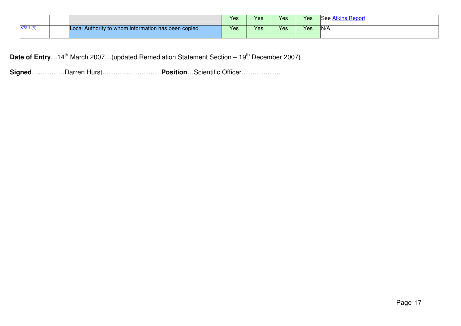|         |                                                     | Yes | Yes | Yes | Yes | See Atkins Report |
|---------|-----------------------------------------------------|-----|-----|-----|-----|-------------------|
| S78R(5) | Local Authority to whom information has been copied | Yes | Yes | Yes | Yes | N/A               |

**Date of Entry**…14<sup>th</sup> March 2007…(updated Remediation Statement Section – 19<sup>th</sup> December 2007)

**Signed**……………Darren Hurst………………………**Position**…Scientific Officer………………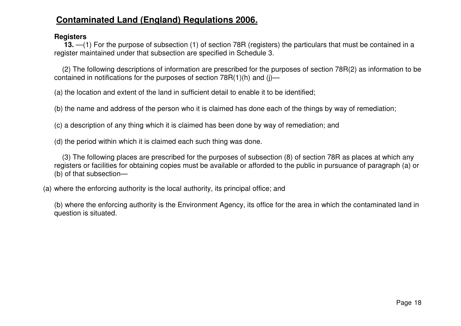# **Contaminated Land (England) Regulations 2006.**

# **Registers**

 **13.** —(1) For the purpose of subsection (1) of section 78R (registers) the particulars that must be contained in aregister maintained under that subsection are specified in Schedule 3.

 (2) The following descriptions of information are prescribed for the purposes of section 78R(2) as information to be contained in notifications for the purposes of section 78R(1)(h) and (j)—

(a) the location and extent of the land in sufficient detail to enable it to be identified;

(b) the name and address of the person who it is claimed has done each of the things by way of remediation;

(c) a description of any thing which it is claimed has been done by way of remediation; and

(d) the period within which it is claimed each such thing was done.

 (3) The following places are prescribed for the purposes of subsection (8) of section 78R as places at which any registers or facilities for obtaining copies must be available or afforded to the public in pursuance of paragraph (a) or (b) of that subsection—

(a) where the enforcing authority is the local authority, its principal office; and

(b) where the enforcing authority is the Environment Agency, its office for the area in which the contaminated land in question is situated.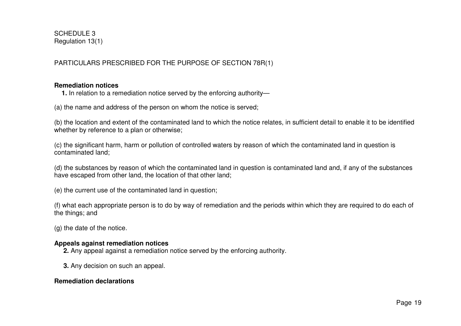### SCHEDULE 3 Regulation 13(1)

PARTICULARS PRESCRIBED FOR THE PURPOSE OF SECTION 78R(1)

### **Remediation notices**

**1.** In relation to a remediation notice served by the enforcing authority—

(a) the name and address of the person on whom the notice is served;

(b) the location and extent of the contaminated land to which the notice relates, in sufficient detail to enable it to be identified whether by reference to a plan or otherwise;

(c) the significant harm, harm or pollution of controlled waters by reason of which the contaminated land in question is contaminated land;

(d) the substances by reason of which the contaminated land in question is contaminated land and, if any of the substances have escaped from other land, the location of that other land;

(e) the current use of the contaminated land in question;

(f) what each appropriate person is to do by way of remediation and the periods within which they are required to do each of the things; and

(g) the date of the notice.

### **Appeals against remediation notices**

**2.** Any appeal against a remediation notice served by the enforcing authority.

**3.** Any decision on such an appeal.

### **Remediation declarations**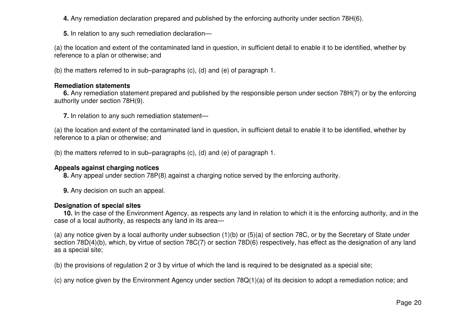**4.** Any remediation declaration prepared and published by the enforcing authority under section 78H(6).

**5.** In relation to any such remediation declaration—

(a) the location and extent of the contaminated land in question, in sufficient detail to enable it to be identified, whether by reference to a plan or otherwise; and

(b) the matters referred to in sub–paragraphs (c), (d) and (e) of paragraph 1.

### **Remediation statements**

 **6.** Any remediation statement prepared and published by the responsible person under section 78H(7) or by the enforcing authority under section 78H(9).

**7.** In relation to any such remediation statement—

(a) the location and extent of the contaminated land in question, in sufficient detail to enable it to be identified, whether by reference to a plan or otherwise; and

(b) the matters referred to in sub–paragraphs (c), (d) and (e) of paragraph 1.

### **Appeals against charging notices**

**8.** Any appeal under section 78P(8) against a charging notice served by the enforcing authority.

**9.** Any decision on such an appeal.

### **Designation of special sites**

 **10.** In the case of the Environment Agency, as respects any land in relation to which it is the enforcing authority, and in the case of a local authority, as respects any land in its area—

(a) any notice given by a local authority under subsection (1)(b) or (5)(a) of section 78C, or by the Secretary of State under section 78D(4)(b), which, by virtue of section 78C(7) or section 78D(6) respectively, has effect as the designation of any land as a special site;

(b) the provisions of regulation 2 or 3 by virtue of which the land is required to be designated as a special site;

(c) any notice given by the Environment Agency under section 78Q(1)(a) of its decision to adopt a remediation notice; and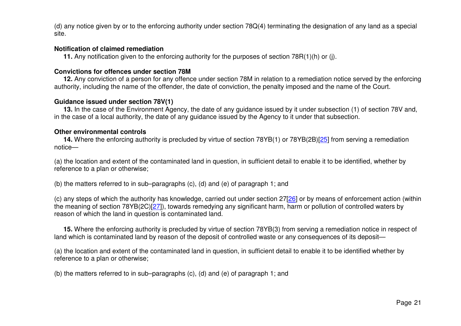(d) any notice given by or to the enforcing authority under section 78Q(4) terminating the designation of any land as a special site.

### **Notification of claimed remediation**

**11.** Any notification given to the enforcing authority for the purposes of section 78R(1)(h) or (j).

### **Convictions for offences under section 78M**

 **12.** Any conviction of a person for any offence under section 78M in relation to a remediation notice served by the enforcing authority, including the name of the offender, the date of conviction, the penalty imposed and the name of the Court.

### **Guidance issued under section 78V(1)**

 **13.** In the case of the Environment Agency, the date of any guidance issued by it under subsection (1) of section 78V and, in the case of a local authority, the date of any guidance issued by the Agency to it under that subsection.

### **Other environmental controls**

**14.** Where the enforcing authority is precluded by virtue of section 78YB(1) or 78YB(2B)[25] from serving a remediation notice—

(a) the location and extent of the contaminated land in question, in sufficient detail to enable it to be identified, whether by reference to a plan or otherwise;

(b) the matters referred to in sub–paragraphs (c), (d) and (e) of paragraph 1; and

(c) any steps of which the authority has knowledge, carried out under section 27[26] or by means of enforcement action (within the meaning of section 78YB(2C)[27]), towards remedying any significant harm, harm or pollution of controlled waters by reason of which the land in question is contaminated land.

**15.** Where the enforcing authority is precluded by virtue of section 78YB(3) from serving a remediation notice in respect of land which is contaminated land by reason of the deposit of controlled waste or any consequences of its deposit—

(a) the location and extent of the contaminated land in question, in sufficient detail to enable it to be identified whether by reference to a plan or otherwise;

(b) the matters referred to in sub–paragraphs (c), (d) and (e) of paragraph 1; and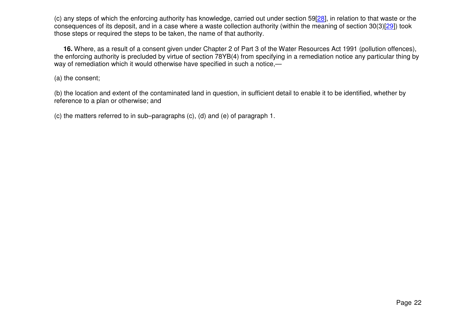(c) any steps of which the enforcing authority has knowledge, carried out under section 59[28], in relation to that waste or the consequences of its deposit, and in a case where a waste collection authority (within the meaning of section 30(3)[29]) took those steps or required the steps to be taken, the name of that authority.

**16.** Where, as a result of a consent given under Chapter 2 of Part 3 of the Water Resources Act 1991 (pollution offences), the enforcing authority is precluded by virtue of section 78YB(4) from specifying in a remediation notice any particular thing by way of remediation which it would otherwise have specified in such a notice,—

(a) the consent;

(b) the location and extent of the contaminated land in question, in sufficient detail to enable it to be identified, whether by reference to a plan or otherwise; and

(c) the matters referred to in sub–paragraphs (c), (d) and (e) of paragraph 1.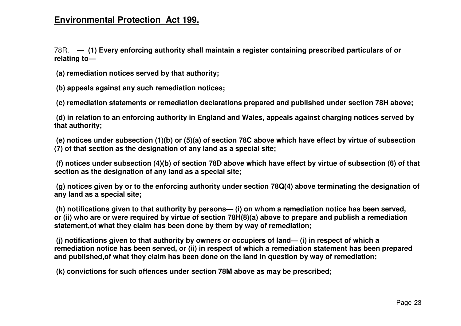# **Environmental Protection Act 199.**

78R. **— (1) Every enforcing authority shall maintain a register containing prescribed particulars of or relating to—** 

 **(a) remediation notices served by that authority;** 

 **(b) appeals against any such remediation notices;** 

 **(c) remediation statements or remediation declarations prepared and published under section 78H above;** 

 **(d) in relation to an enforcing authority in England and Wales, appeals against charging notices served by that authority;** 

 **(e) notices under subsection (1)(b) or (5)(a) of section 78C above which have effect by virtue of subsection (7) of that section as the designation of any land as a special site;** 

 **(f) notices under subsection (4)(b) of section 78D above which have effect by virtue of subsection (6) of that section as the designation of any land as a special site;** 

 **(g) notices given by or to the enforcing authority under section 78Q(4) above terminating the designation of any land as a special site;** 

 **(h) notifications given to that authority by persons— (i) on whom a remediation notice has been served, or (ii) who are or were required by virtue of section 78H(8)(a) above to prepare and publish a remediation statement,of what they claim has been done by them by way of remediation;** 

 **(j) notifications given to that authority by owners or occupiers of land— (i) in respect of which a remediation notice has been served, or (ii) in respect of which a remediation statement has been prepared and published,of what they claim has been done on the land in question by way of remediation;** 

 **(k) convictions for such offences under section 78M above as may be prescribed;**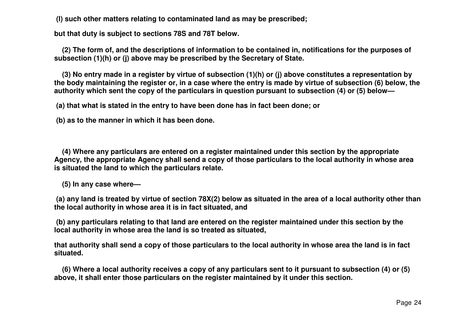**(l) such other matters relating to contaminated land as may be prescribed;** 

**but that duty is subject to sections 78S and 78T below.** 

 **(2) The form of, and the descriptions of information to be contained in, notifications for the purposes of subsection (1)(h) or (j) above may be prescribed by the Secretary of State.** 

 **(3) No entry made in a register by virtue of subsection (1)(h) or (j) above constitutes a representation by the body maintaining the register or, in a case where the entry is made by virtue of subsection (6) below, the authority which sent the copy of the particulars in question pursuant to subsection (4) or (5) below—** 

 **(a) that what is stated in the entry to have been done has in fact been done; or** 

 **(b) as to the manner in which it has been done.** 

 **(4) Where any particulars are entered on a register maintained under this section by the appropriate Agency, the appropriate Agency shall send a copy of those particulars to the local authority in whose area is situated the land to which the particulars relate.** 

 **(5) In any case where—** 

 **(a) any land is treated by virtue of section 78X(2) below as situated in the area of a local authority other than the local authority in whose area it is in fact situated, and** 

 **(b) any particulars relating to that land are entered on the register maintained under this section by the local authority in whose area the land is so treated as situated,** 

**that authority shall send a copy of those particulars to the local authority in whose area the land is in fact situated.** 

 **(6) Where a local authority receives a copy of any particulars sent to it pursuant to subsection (4) or (5) above, it shall enter those particulars on the register maintained by it under this section.**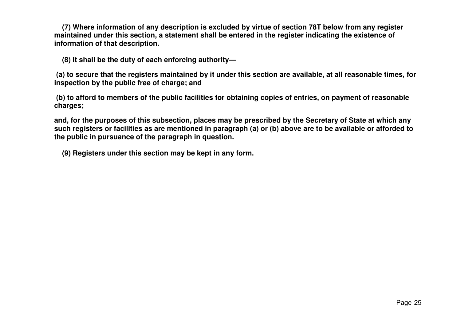**(7) Where information of any description is excluded by virtue of section 78T below from any register maintained under this section, a statement shall be entered in the register indicating the existence of information of that description.** 

 **(8) It shall be the duty of each enforcing authority—** 

 **(a) to secure that the registers maintained by it under this section are available, at all reasonable times, for inspection by the public free of charge; and** 

 **(b) to afford to members of the public facilities for obtaining copies of entries, on payment of reasonable charges;** 

**and, for the purposes of this subsection, places may be prescribed by the Secretary of State at which any such registers or facilities as are mentioned in paragraph (a) or (b) above are to be available or afforded to the public in pursuance of the paragraph in question.** 

 **(9) Registers under this section may be kept in any form.**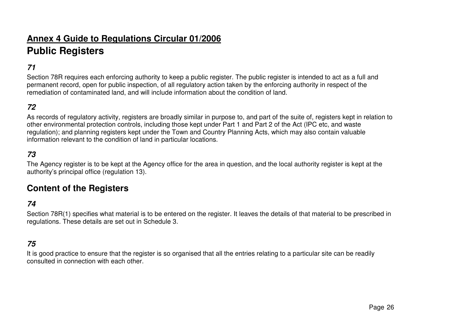# **Annex 4 Guide to Regulations Circular 01/2006Public Registers**

# **71**

Section 78R requires each enforcing authority to keep a public register. The public register is intended to act as a full and permanent record, open for public inspection, of all regulatory action taken by the enforcing authority in respect of the remediation of contaminated land, and will include information about the condition of land.

# **72**

As records of regulatory activity, registers are broadly similar in purpose to, and part of the suite of, registers kept in relation to other environmental protection controls, including those kept under Part 1 and Part 2 of the Act (IPC etc, and waste regulation); and planning registers kept under the Town and Country Planning Acts, which may also contain valuable information relevant to the condition of land in particular locations.

# **73**

The Agency register is to be kept at the Agency office for the area in question, and the local authority register is kept at the authority's principal office (regulation 13).

# **Content of the Registers**

# **74**

Section 78R(1) specifies what material is to be entered on the register. It leaves the details of that material to be prescribed in regulations. These details are set out in Schedule 3.

### **75**

It is good practice to ensure that the register is so organised that all the entries relating to a particular site can be readily consulted in connection with each other.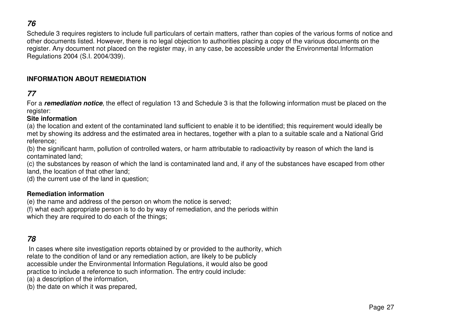# **76**

Schedule 3 requires registers to include full particulars of certain matters, rather than copies of the various forms of notice and other documents listed. However, there is no legal objection to authorities placing a copy of the various documents on the register. Any document not placed on the register may, in any case, be accessible under the Environmental Information Regulations 2004 (S.I. 2004/339).

## **INFORMATION ABOUT REMEDIATION**

# **77**

For a **remediation notice**, the effect of regulation 13 and Schedule 3 is that the following information must be placed on the register:

#### **Site information**

(a) the location and extent of the contaminated land sufficient to enable it to be identified; this requirement would ideally be met by showing its address and the estimated area in hectares, together with a plan to a suitable scale and a National Grid reference;

 (b) the significant harm, pollution of controlled waters, or harm attributable to radioactivity by reason of which the land is contaminated land;

 (c) the substances by reason of which the land is contaminated land and, if any of the substances have escaped from other land, the location of that other land;

(d) the current use of the land in question;

### **Remediation information**

(e) the name and address of the person on whom the notice is served;

(f) what each appropriate person is to do by way of remediation, and the periods within

which they are required to do each of the things;

# **78**

In cases where site investigation reports obtained by or provided to the authority, which relate to the condition of land or any remediation action, are likely to be publicly accessible under the Environmental Information Regulations, it would also be good practice to include a reference to such information. The entry could include:

(a) a description of the information,

(b) the date on which it was prepared,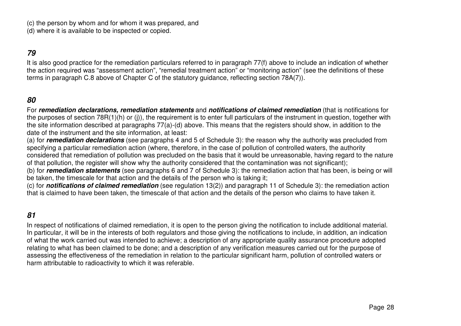(c) the person by whom and for whom it was prepared, and (d) where it is available to be inspected or copied.

# **79**

It is also good practice for the remediation particulars referred to in paragraph 77(f) above to include an indication of whether the action required was "assessment action", "remedial treatment action" or "monitoring action" (see the definitions of these terms in paragraph C.8 above of Chapter C of the statutory guidance, reflecting section 78A(7)).

# **80**

For **remediation declarations, remediation statements** and **notifications of claimed remediation** (that is notifications for the purposes of section 78R(1)(h) or (j)), the requirement is to enter full particulars of the instrument in question, together with the site information described at paragraphs 77(a)-(d) above. This means that the registers should show, in addition to the date of the instrument and the site information, at least:

 (a) for **remediation declarations** (see paragraphs 4 and 5 of Schedule 3): the reason why the authority was precluded from specifying a particular remediation action (where, therefore, in the case of pollution of controlled waters, the authority considered that remediation of pollution was precluded on the basis that it would be unreasonable, having regard to the nature of that pollution, the register will show why the authority considered that the contamination was not significant);

 (b) for **remediation statements** (see paragraphs 6 and 7 of Schedule 3): the remediation action that has been, is being or will be taken, the timescale for that action and the details of the person who is taking it;

 (c) for **notifications of claimed remediation** (see regulation 13(2)) and paragraph 11 of Schedule 3): the remediation action that is claimed to have been taken, the timescale of that action and the details of the person who claims to have taken it.

# **81**

In respect of notifications of claimed remediation, it is open to the person giving the notification to include additional material. In particular, it will be in the interests of both regulators and those giving the notifications to include, in addition, an indication of what the work carried out was intended to achieve; a description of any appropriate quality assurance procedure adopted relating to what has been claimed to be done; and a description of any verification measures carried out for the purpose of assessing the effectiveness of the remediation in relation to the particular significant harm, pollution of controlled waters or harm attributable to radioactivity to which it was referable.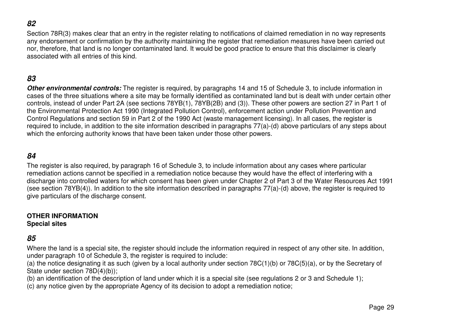# **82**

Section 78R(3) makes clear that an entry in the register relating to notifications of claimed remediation in no way represents any endorsement or confirmation by the authority maintaining the register that remediation measures have been carried out nor, therefore, that land is no longer contaminated land. It would be good practice to ensure that this disclaimer is clearly associated with all entries of this kind.

# **83**

**Other environmental controls:** The register is required, by paragraphs 14 and 15 of Schedule 3, to include information in cases of the three situations where a site may be formally identified as contaminated land but is dealt with under certain other controls, instead of under Part 2A (see sections 78YB(1), 78YB(2B) and (3)). These other powers are section 27 in Part 1 of the Environmental Protection Act 1990 (Integrated Pollution Control), enforcement action under Pollution Prevention and Control Regulations and section 59 in Part 2 of the 1990 Act (waste management licensing). In all cases, the register is required to include, in addition to the site information described in paragraphs 77(a)-(d) above particulars of any steps about which the enforcing authority knows that have been taken under those other powers.

# **84**

The register is also required, by paragraph 16 of Schedule 3, to include information about any cases where particular remediation actions cannot be specified in a remediation notice because they would have the effect of interfering with a discharge into controlled waters for which consent has been given under Chapter 2 of Part 3 of the Water Resources Act 1991 (see section 78YB(4)). In addition to the site information described in paragraphs 77(a)-(d) above, the register is required to give particulars of the discharge consent.

#### **OTHER INFORMATION Special sites**

### **85**

Where the land is a special site, the register should include the information required in respect of any other site. In addition, under paragraph 10 of Schedule 3, the register is required to include:

 (a) the notice designating it as such (given by a local authority under section 78C(1)(b) or 78C(5)(a), or by the Secretary of State under section 78D(4)(b));

(b) an identification of the description of land under which it is a special site (see regulations 2 or 3 and Schedule 1);

(c) any notice given by the appropriate Agency of its decision to adopt a remediation notice;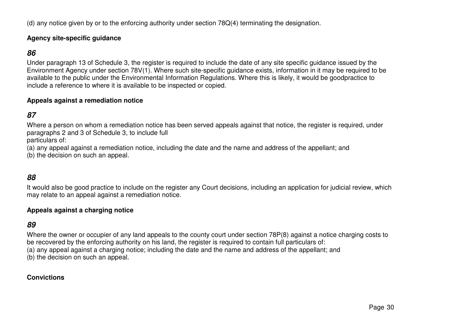(d) any notice given by or to the enforcing authority under section 78Q(4) terminating the designation.

## **Agency site-specific guidance**

# **86**

Under paragraph 13 of Schedule 3, the register is required to include the date of any site specific guidance issued by the Environment Agency under section 78V(1). Where such site-specific guidance exists, information in it may be required to be available to the public under the Environmental Information Regulations. Where this is likely, it would be goodpractice to include a reference to where it is available to be inspected or copied.

### **Appeals against a remediation notice**

# **87**

Where a person on whom a remediation notice has been served appeals against that notice, the register is required, under paragraphs 2 and 3 of Schedule 3, to include full

particulars of:

 (a) any appeal against a remediation notice, including the date and the name and address of the appellant; and (b) the decision on such an appeal.

### **88**

It would also be good practice to include on the register any Court decisions, including an application for judicial review, which may relate to an appeal against a remediation notice.

#### **Appeals against a charging notice**

# **89**

Where the owner or occupier of any land appeals to the county court under section 78P(8) against a notice charging costs to be recovered by the enforcing authority on his land, the register is required to contain full particulars of: (a) any appeal against a charging notice; including the date and the name and address of the appellant; and (b) the decision on such an appeal.

### **Convictions**